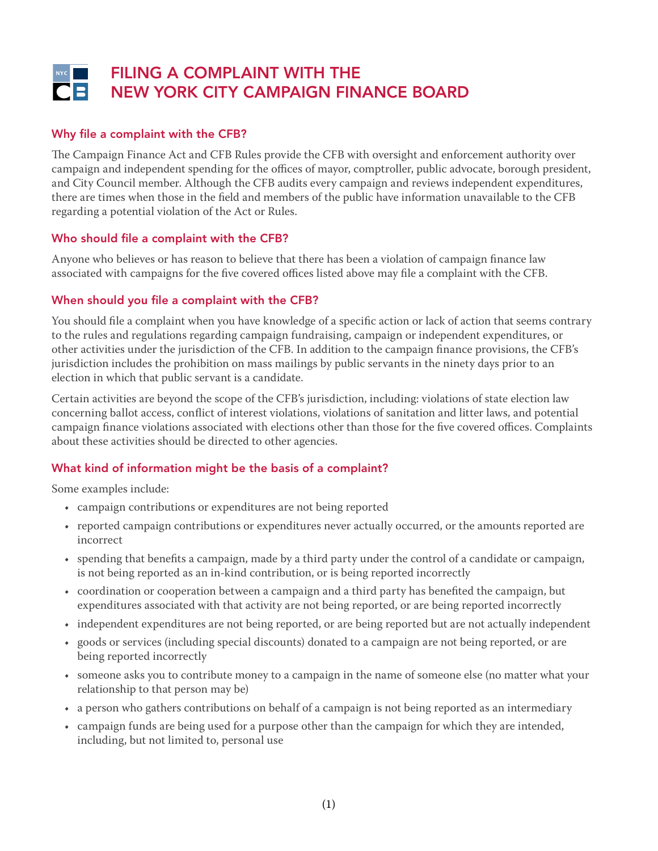# FILING A COMPLAINT WITH THE NEW YORK CITY CAMPAIGN FINANCE BOARD

# Why file a complaint with the CFB?

The Campaign Finance Act and CFB Rules provide the CFB with oversight and enforcement authority over campaign and independent spending for the offices of mayor, comptroller, public advocate, borough president, and City Council member. Although the CFB audits every campaign and reviews independent expenditures, there are times when those in the field and members of the public have information unavailable to the CFB regarding a potential violation of the Act or Rules.

### Who should file a complaint with the CFB?

Anyone who believes or has reason to believe that there has been a violation of campaign finance law associated with campaigns for the five covered offices listed above may file a complaint with the CFB.

## When should you file a complaint with the CFB?

You should file a complaint when you have knowledge of a specific action or lack of action that seems contrary to the rules and regulations regarding campaign fundraising, campaign or independent expenditures, or other activities under the jurisdiction of the CFB. In addition to the campaign finance provisions, the CFB's jurisdiction includes the prohibition on mass mailings by public servants in the ninety days prior to an election in which that public servant is a candidate.

Certain activities are beyond the scope of the CFB's jurisdiction, including: violations of state election law concerning ballot access, conflict of interest violations, violations of sanitation and litter laws, and potential campaign finance violations associated with elections other than those for the five covered offices. Complaints about these activities should be directed to other agencies.

# What kind of information might be the basis of a complaint?

Some examples include:

- campaign contributions or expenditures are not being reported
- reported campaign contributions or expenditures never actually occurred, or the amounts reported are incorrect
- spending that benefits a campaign, made by a third party under the control of a candidate or campaign, is not being reported as an in-kind contribution, or is being reported incorrectly
- coordination or cooperation between a campaign and a third party has benefited the campaign, but expenditures associated with that activity are not being reported, or are being reported incorrectly
- independent expenditures are not being reported, or are being reported but are not actually independent
- goods or services (including special discounts) donated to a campaign are not being reported, or are being reported incorrectly
- someone asks you to contribute money to a campaign in the name of someone else (no matter what your relationship to that person may be)
- a person who gathers contributions on behalf of a campaign is not being reported as an intermediary
- campaign funds are being used for a purpose other than the campaign for which they are intended, including, but not limited to, personal use